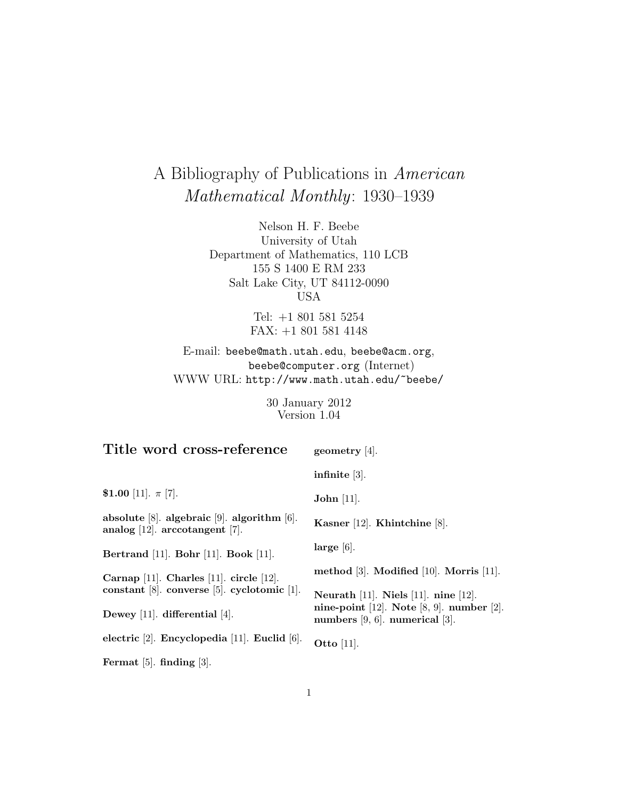# A Bibliography of Publications in American Mathematical Monthly: 1930–1939

Nelson H. F. Beebe University of Utah Department of Mathematics, 110 LCB 155 S 1400 E RM 233 Salt Lake City, UT 84112-0090 USA

> Tel: +1 801 581 5254 FAX: +1 801 581 4148

E-mail: beebe@math.utah.edu, beebe@acm.org, beebe@computer.org (Internet) WWW URL: http://www.math.utah.edu/~beebe/

> 30 January 2012 Version 1.04

| Title word cross-reference                                                                   | geometry $[4]$ .                                                                  |
|----------------------------------------------------------------------------------------------|-----------------------------------------------------------------------------------|
|                                                                                              | infinite $[3]$ .                                                                  |
| \$1.00 [11]. $\pi$ [7].                                                                      | John $[11]$ .                                                                     |
| absolute $[8]$ . algebraic $[9]$ . algorithm $[6]$ .<br>analog $[12]$ . arccotangent $[7]$ . | Kasner [12]. Khintchine [8].                                                      |
| Bertrand [11]. Bohr [11]. Book [11].                                                         | $large [6]$ .                                                                     |
| Carnap [11]. Charles [11]. circle [12].                                                      | method $[3]$ . Modified $[10]$ . Morris $[11]$ .                                  |
| constant $[8]$ . converse $[5]$ . cyclotomic $[1]$ .                                         | Neurath [11]. Niels [11]. nine [12].                                              |
| Dewey [11]. differential [4].                                                                | nine-point [12]. Note [8, 9]. number [2].<br>numbers $[9, 6]$ . numerical $[3]$ . |
| electric $[2]$ . Encyclopedia $[11]$ . Euclid $[6]$ .                                        | Otto $[11]$ .                                                                     |
| Fermat $[5]$ . finding $[3]$ .                                                               |                                                                                   |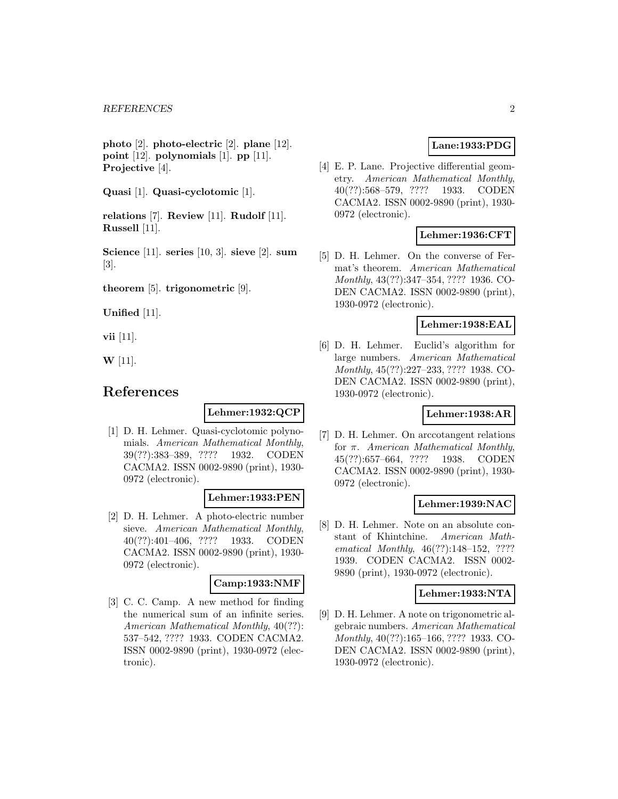**photo** [2]. **photo-electric** [2]. **plane** [12]. **point** [12]. **polynomials** [1]. **pp** [11]. **Projective** [4].

**Quasi** [1]. **Quasi-cyclotomic** [1].

**relations** [7]. **Review** [11]. **Rudolf** [11]. **Russell** [11].

**Science** [11]. **series** [10, 3]. **sieve** [2]. **sum** [3].

**theorem** [5]. **trigonometric** [9].

**Unified** [11].

**vii** [11].

**W** [11].

# **References**

#### **Lehmer:1932:QCP**

[1] D. H. Lehmer. Quasi-cyclotomic polynomials. American Mathematical Monthly, 39(??):383–389, ???? 1932. CODEN CACMA2. ISSN 0002-9890 (print), 1930- 0972 (electronic).

#### **Lehmer:1933:PEN**

[2] D. H. Lehmer. A photo-electric number sieve. American Mathematical Monthly, 40(??):401–406, ???? 1933. CODEN CACMA2. ISSN 0002-9890 (print), 1930- 0972 (electronic).

# **Camp:1933:NMF**

[3] C. C. Camp. A new method for finding the numerical sum of an infinite series. American Mathematical Monthly, 40(??): 537–542, ???? 1933. CODEN CACMA2. ISSN 0002-9890 (print), 1930-0972 (electronic).

# **Lane:1933:PDG**

[4] E. P. Lane. Projective differential geometry. American Mathematical Monthly, 40(??):568–579, ???? 1933. CODEN CACMA2. ISSN 0002-9890 (print), 1930- 0972 (electronic).

# **Lehmer:1936:CFT**

[5] D. H. Lehmer. On the converse of Fermat's theorem. American Mathematical Monthly, 43(??):347–354, ???? 1936. CO-DEN CACMA2. ISSN 0002-9890 (print), 1930-0972 (electronic).

#### **Lehmer:1938:EAL**

[6] D. H. Lehmer. Euclid's algorithm for large numbers. American Mathematical Monthly, 45(??):227–233, ???? 1938. CO-DEN CACMA2. ISSN 0002-9890 (print), 1930-0972 (electronic).

### **Lehmer:1938:AR**

[7] D. H. Lehmer. On arccotangent relations for π. American Mathematical Monthly, 45(??):657–664, ???? 1938. CODEN CACMA2. ISSN 0002-9890 (print), 1930- 0972 (electronic).

#### **Lehmer:1939:NAC**

[8] D. H. Lehmer. Note on an absolute constant of Khintchine. American Mathematical Monthly, 46(??):148–152, ???? 1939. CODEN CACMA2. ISSN 0002- 9890 (print), 1930-0972 (electronic).

#### **Lehmer:1933:NTA**

[9] D. H. Lehmer. A note on trigonometric algebraic numbers. American Mathematical Monthly, 40(??):165–166, ???? 1933. CO-DEN CACMA2. ISSN 0002-9890 (print), 1930-0972 (electronic).